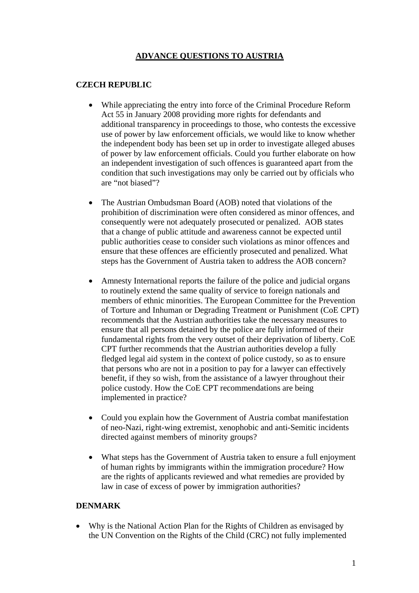# **ADVANCE QUESTIONS TO AUSTRIA**

### **CZECH REPUBLIC**

- While appreciating the entry into force of the Criminal Procedure Reform Act 55 in January 2008 providing more rights for defendants and additional transparency in proceedings to those, who contests the excessive use of power by law enforcement officials, we would like to know whether the independent body has been set up in order to investigate alleged abuses of power by law enforcement officials. Could you further elaborate on how an independent investigation of such offences is guaranteed apart from the condition that such investigations may only be carried out by officials who are "not biased"?
- The Austrian Ombudsman Board (AOB) noted that violations of the prohibition of discrimination were often considered as minor offences, and consequently were not adequately prosecuted or penalized. AOB states that a change of public attitude and awareness cannot be expected until public authorities cease to consider such violations as minor offences and ensure that these offences are efficiently prosecuted and penalized. What steps has the Government of Austria taken to address the AOB concern?
- Amnesty International reports the failure of the police and judicial organs to routinely extend the same quality of service to foreign nationals and members of ethnic minorities. The European Committee for the Prevention of Torture and Inhuman or Degrading Treatment or Punishment (CoE CPT) recommends that the Austrian authorities take the necessary measures to ensure that all persons detained by the police are fully informed of their fundamental rights from the very outset of their deprivation of liberty. CoE CPT further recommends that the Austrian authorities develop a fully fledged legal aid system in the context of police custody, so as to ensure that persons who are not in a position to pay for a lawyer can effectively benefit, if they so wish, from the assistance of a lawyer throughout their police custody. How the CoE CPT recommendations are being implemented in practice?
- Could you explain how the Government of Austria combat manifestation of neo-Nazi, right-wing extremist, xenophobic and anti-Semitic incidents directed against members of minority groups?
- What steps has the Government of Austria taken to ensure a full enjoyment of human rights by immigrants within the immigration procedure? How are the rights of applicants reviewed and what remedies are provided by law in case of excess of power by immigration authorities?

# **DENMARK**

• Why is the National Action Plan for the Rights of Children as envisaged by the UN Convention on the Rights of the Child (CRC) not fully implemented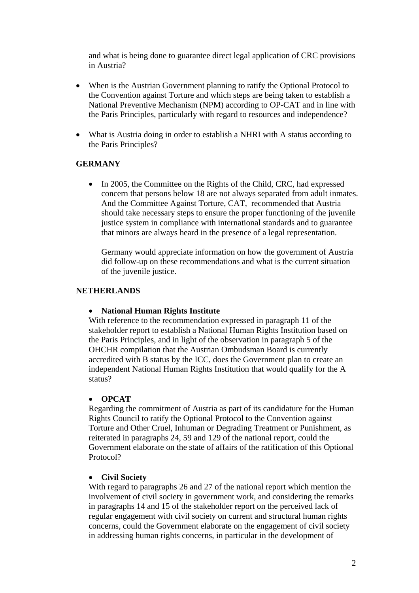and what is being done to guarantee direct legal application of CRC provisions in Austria?

- When is the Austrian Government planning to ratify the Optional Protocol to the Convention against Torture and which steps are being taken to establish a National Preventive Mechanism (NPM) according to OP-CAT and in line with the Paris Principles, particularly with regard to resources and independence?
- What is Austria doing in order to establish a NHRI with A status according to the Paris Principles?

#### **GERMANY**

• In 2005, the Committee on the Rights of the Child, CRC, had expressed concern that persons below 18 are not always separated from adult inmates. And the Committee Against Torture, CAT, recommended that Austria should take necessary steps to ensure the proper functioning of the juvenile justice system in compliance with international standards and to guarantee that minors are always heard in the presence of a legal representation.

Germany would appreciate information on how the government of Austria did follow-up on these recommendations and what is the current situation of the juvenile justice.

#### **NETHERLANDS**

#### • **National Human Rights Institute**

With reference to the recommendation expressed in paragraph 11 of the stakeholder report to establish a National Human Rights Institution based on the Paris Principles, and in light of the observation in paragraph 5 of the OHCHR compilation that the Austrian Ombudsman Board is currently accredited with B status by the ICC, does the Government plan to create an independent National Human Rights Institution that would qualify for the A status?

#### • **OPCAT**

Regarding the commitment of Austria as part of its candidature for the Human Rights Council to ratify the Optional Protocol to the Convention against Torture and Other Cruel, Inhuman or Degrading Treatment or Punishment, as reiterated in paragraphs 24, 59 and 129 of the national report, could the Government elaborate on the state of affairs of the ratification of this Optional Protocol?

#### • **Civil Society**

With regard to paragraphs 26 and 27 of the national report which mention the involvement of civil society in government work, and considering the remarks in paragraphs 14 and 15 of the stakeholder report on the perceived lack of regular engagement with civil society on current and structural human rights concerns, could the Government elaborate on the engagement of civil society in addressing human rights concerns, in particular in the development of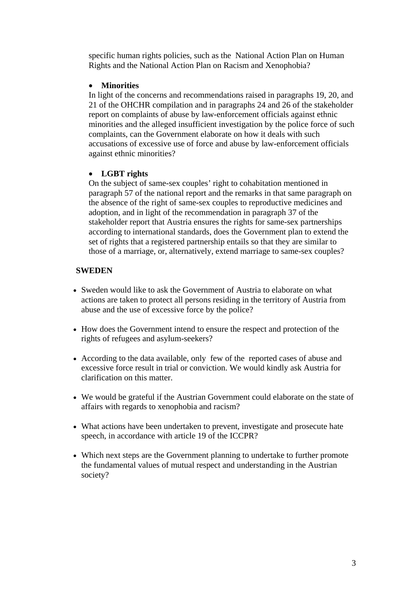specific human rights policies, such as the National Action Plan on Human Rights and the National Action Plan on Racism and Xenophobia?

### • **Minorities**

In light of the concerns and recommendations raised in paragraphs 19, 20, and 21 of the OHCHR compilation and in paragraphs 24 and 26 of the stakeholder report on complaints of abuse by law-enforcement officials against ethnic minorities and the alleged insufficient investigation by the police force of such complaints, can the Government elaborate on how it deals with such accusations of excessive use of force and abuse by law-enforcement officials against ethnic minorities?

## • **LGBT rights**

On the subject of same-sex couples' right to cohabitation mentioned in paragraph 57 of the national report and the remarks in that same paragraph on the absence of the right of same-sex couples to reproductive medicines and adoption, and in light of the recommendation in paragraph 37 of the stakeholder report that Austria ensures the rights for same-sex partnerships according to international standards, does the Government plan to extend the set of rights that a registered partnership entails so that they are similar to those of a marriage, or, alternatively, extend marriage to same-sex couples?

## **SWEDEN**

- Sweden would like to ask the Government of Austria to elaborate on what actions are taken to protect all persons residing in the territory of Austria from abuse and the use of excessive force by the police?
- How does the Government intend to ensure the respect and protection of the rights of refugees and asylum-seekers?
- According to the data available, only few of the reported cases of abuse and excessive force result in trial or conviction. We would kindly ask Austria for clarification on this matter.
- We would be grateful if the Austrian Government could elaborate on the state of affairs with regards to xenophobia and racism?
- What actions have been undertaken to prevent, investigate and prosecute hate speech, in accordance with article 19 of the ICCPR?
- Which next steps are the Government planning to undertake to further promote the fundamental values of mutual respect and understanding in the Austrian society?